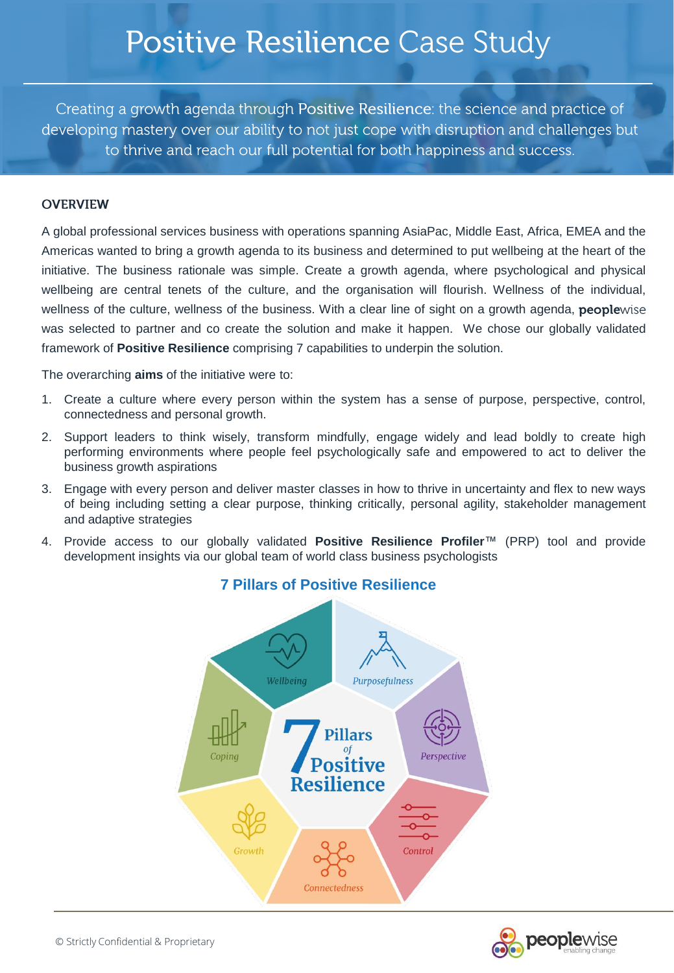## Positive Resilience Case Study

Creating a growth agenda through Positive Resilience: the science and practice of developing mastery over our ability to not just cope with disruption and challenges but to thrive and reach our full potential for both happiness and success.

#### **OVERVIEW**

A global professional services business with operations spanning AsiaPac, Middle East, Africa, EMEA and the Americas wanted to bring a growth agenda to its business and determined to put wellbeing at the heart of the initiative. The business rationale was simple. Create a growth agenda, where psychological and physical wellbeing are central tenets of the culture, and the organisation will flourish. Wellness of the individual, wellness of the culture, wellness of the business. With a clear line of sight on a growth agenda, peoplewise was selected to partner and co create the solution and make it happen. We chose our globally validated framework of **Positive Resilience** comprising 7 capabilities to underpin the solution.

The overarching **aims** of the initiative were to:

- 1. Create a culture where every person within the system has a sense of purpose, perspective, control, connectedness and personal growth.
- 2. Support leaders to think wisely, transform mindfully, engage widely and lead boldly to create high performing environments where people feel psychologically safe and empowered to act to deliver the business growth aspirations
- 3. Engage with every person and deliver master classes in how to thrive in uncertainty and flex to new ways of being including setting a clear purpose, thinking critically, personal agility, stakeholder management and adaptive strategies
- 4. Provide access to our globally validated **Positive Resilience Profiler**™ (PRP) tool and provide development insights via our global team of world class business psychologists





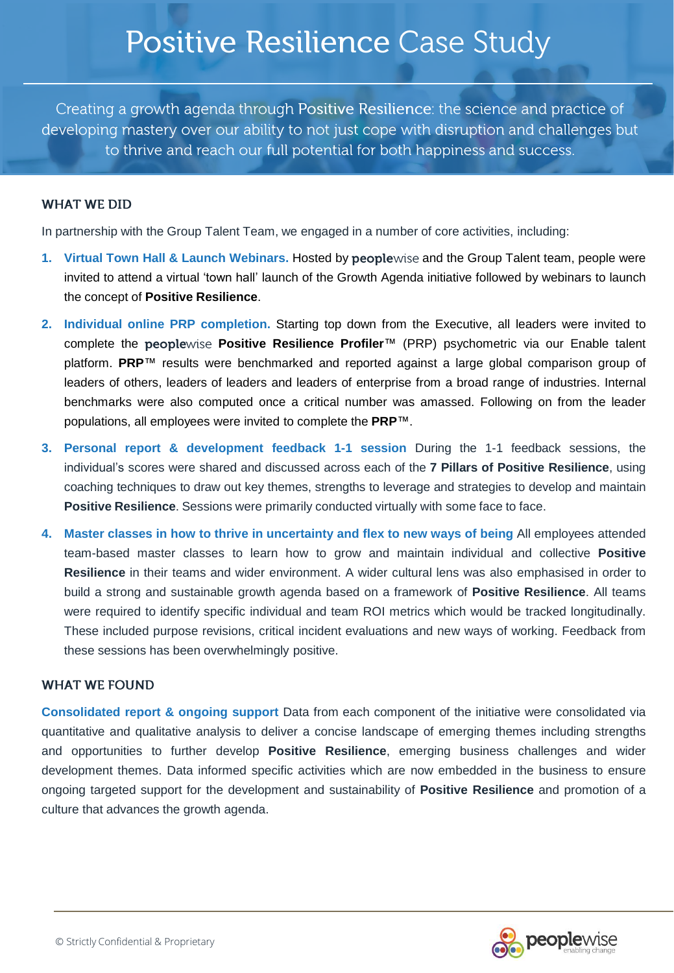## Positive Resilience Case Study

Creating a growth agenda through Positive Resilience: the science and practice of developing mastery over our ability to not just cope with disruption and challenges but to thrive and reach our full potential for both happiness and success.

#### **WHAT WE DID**

In partnership with the Group Talent Team, we engaged in a number of core activities, including:

- **1.** Virtual Town Hall & Launch Webinars. Hosted by peoplewise and the Group Talent team, people were invited to attend a virtual 'town hall' launch of the Growth Agenda initiative followed by webinars to launch the concept of **Positive Resilience**.
- **2. Individual online PRP completion.** Starting top down from the Executive, all leaders were invited to complete the **Positive Resilience Profiler**™ (PRP) psychometric via our Enable talent platform. **PRP**™ results were benchmarked and reported against a large global comparison group of leaders of others, leaders of leaders and leaders of enterprise from a broad range of industries. Internal benchmarks were also computed once a critical number was amassed. Following on from the leader populations, all employees were invited to complete the **PRP**™.
- **3. Personal report & development feedback 1-1 session** During the 1-1 feedback sessions, the individual's scores were shared and discussed across each of the **7 Pillars of Positive Resilience**, using coaching techniques to draw out key themes, strengths to leverage and strategies to develop and maintain **Positive Resilience**. Sessions were primarily conducted virtually with some face to face.
- **4. Master classes in how to thrive in uncertainty and flex to new ways of being** All employees attended team-based master classes to learn how to grow and maintain individual and collective **Positive Resilience** in their teams and wider environment. A wider cultural lens was also emphasised in order to build a strong and sustainable growth agenda based on a framework of **Positive Resilience**. All teams were required to identify specific individual and team ROI metrics which would be tracked longitudinally. These included purpose revisions, critical incident evaluations and new ways of working. Feedback from these sessions has been overwhelmingly positive.

#### **WHAT WE FOUND**

**Consolidated report & ongoing support** Data from each component of the initiative were consolidated via quantitative and qualitative analysis to deliver a concise landscape of emerging themes including strengths and opportunities to further develop **Positive Resilience**, emerging business challenges and wider development themes. Data informed specific activities which are now embedded in the business to ensure ongoing targeted support for the development and sustainability of **Positive Resilience** and promotion of a culture that advances the growth agenda.

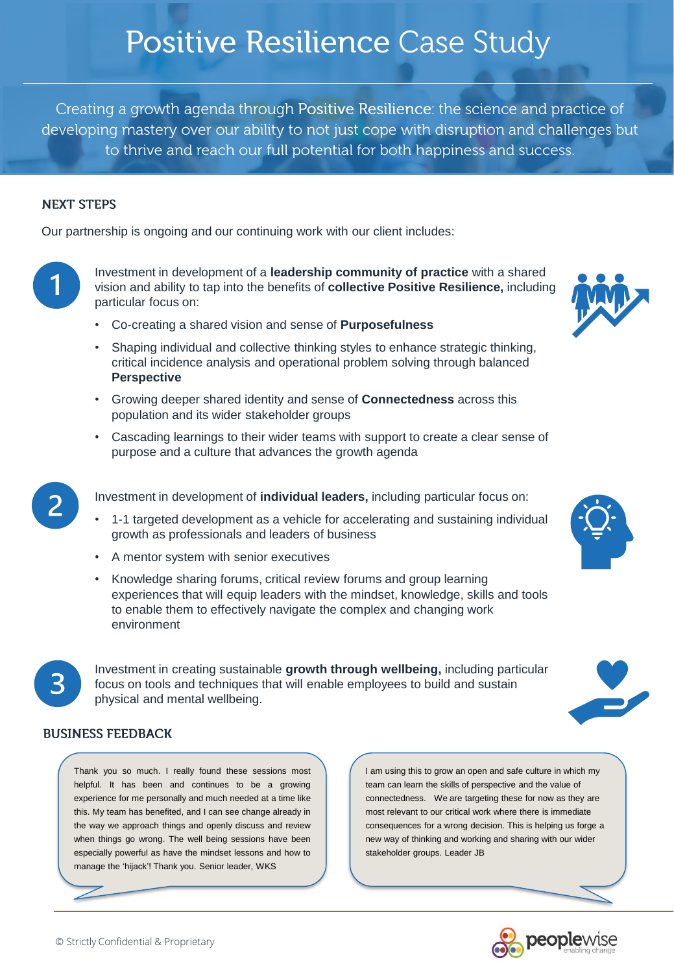# Positive Resilience Case Study

Creating a growth agenda through Positive Resilience: the science and practice of developing mastery over our ability to not just cope with disruption and challenges but to thrive and reach our full potential for both happiness and success.

### **NEXT STEPS**

Our partnership is ongoing and our continuing work with our client includes:

Investment in development of a **leadership community of practice** with a shared vision and ability to tap into the benefits of **collective Positive Resilience,** including particular focus on:

- Co-creating a shared vision and sense of **Purposefulness**
- Shaping individual and collective thinking styles to enhance strategic thinking, critical incidence analysis and operational problem solving through balanced **Perspective**
- Growing deeper shared identity and sense of **Connectedness** across this population and its wider stakeholder groups
- Cascading learnings to their wider teams with support to create a clear sense of purpose and a culture that advances the growth agenda
- Investment in development of **individual leaders,** including particular focus on:
	- 1-1 targeted development as a vehicle for accelerating and sustaining individual growth as professionals and leaders of business
	- A mentor system with senior executives
	- Knowledge sharing forums, critical review forums and group learning experiences that will equip leaders with the mindset, knowledge, skills and tools to enable them to effectively navigate the complex and changing work environment



Investment in creating sustainable **growth through wellbeing,** including particular focus on tools and techniques that will enable employees to build and sustain physical and mental wellbeing.

### **BUSINESS FEEDBACK**

Thank you so much. I really found these sessions most helpful. It has been and continues to be a growing experience for me personally and much needed at a time like this. My team has benefited, and I can see change already in the way we approach things and openly discuss and review when things go wrong. The well being sessions have been especially powerful as have the mindset lessons and how to manage the 'hijack'! Thank you. Senior leader, WKS

I am using this to grow an open and safe culture in which my team can learn the skills of perspective and the value of connectedness. We are targeting these for now as they are most relevant to our critical work where there is immediate consequences for a wrong decision. This is helping us forge a new way of thinking and working and sharing with our wider stakeholder groups. Leader JB